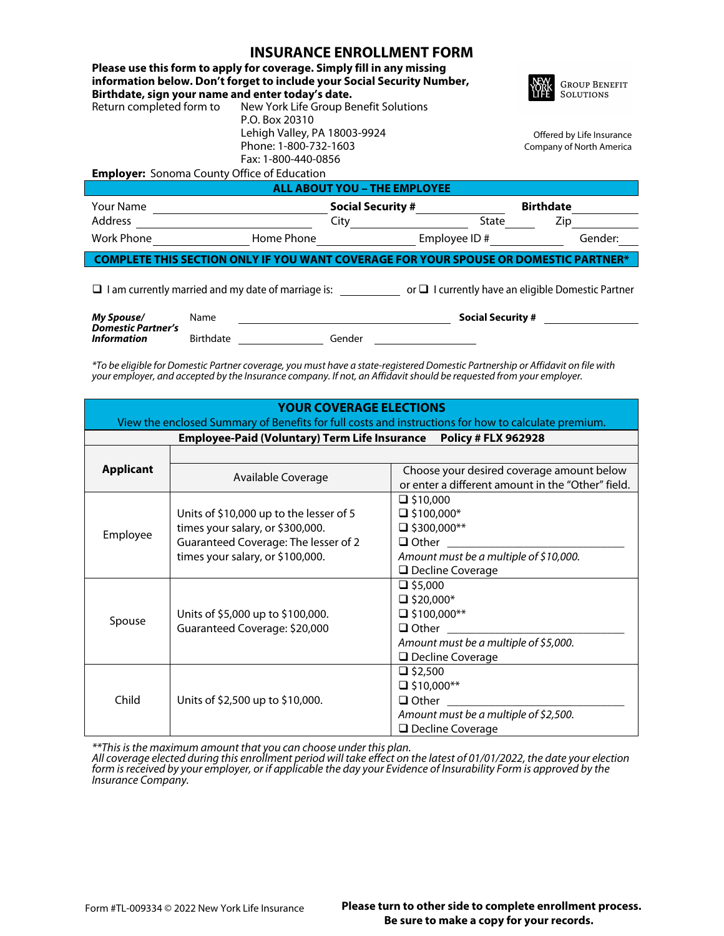## **INCLIDANCE ENDOLL MENT EODM**

| INSURANLE ENRULLIVIEN I FURIVI                                                                                 |                                                                                                                                                   |                          |                                   |  |  |  |  |  |
|----------------------------------------------------------------------------------------------------------------|---------------------------------------------------------------------------------------------------------------------------------------------------|--------------------------|-----------------------------------|--|--|--|--|--|
| Birthdate, sign your name and enter today's date.                                                              | Please use this form to apply for coverage. Simply fill in any missing<br>information below. Don't forget to include your Social Security Number, |                          | <b>GROUP BENEFIT</b><br>SOLUTIONS |  |  |  |  |  |
|                                                                                                                | Return completed form to New York Life Group Benefit Solutions                                                                                    |                          |                                   |  |  |  |  |  |
|                                                                                                                | P.O. Box 20310                                                                                                                                    |                          |                                   |  |  |  |  |  |
|                                                                                                                | Lehigh Valley, PA 18003-9924                                                                                                                      |                          | Offered by Life Insurance         |  |  |  |  |  |
|                                                                                                                | Phone: 1-800-732-1603                                                                                                                             | Company of North America |                                   |  |  |  |  |  |
|                                                                                                                | Fax: 1-800-440-0856                                                                                                                               |                          |                                   |  |  |  |  |  |
| <b>Employer:</b> Sonoma County Office of Education                                                             |                                                                                                                                                   |                          |                                   |  |  |  |  |  |
| <b>ALL ABOUT YOU - THE EMPLOYEE</b>                                                                            |                                                                                                                                                   |                          |                                   |  |  |  |  |  |
| Your Name                                                                                                      |                                                                                                                                                   | <b>Social Security #</b> | <b>Birthdate</b>                  |  |  |  |  |  |
| Address                                                                                                        | City                                                                                                                                              | State                    | Zip.                              |  |  |  |  |  |
| <b>Work Phone</b>                                                                                              | Home Phone                                                                                                                                        | Employee ID#             | Gender:                           |  |  |  |  |  |
| 'HIS SECTION ONLY IF YOU WANT COVERAGE FOR YOUR SPOUSE OR DOMESTIC PARTNER*                                    |                                                                                                                                                   |                          |                                   |  |  |  |  |  |
| $\Box$ I am currently married and my date of marriage is: $\Box$ I currently have an eligible Domestic Partner |                                                                                                                                                   |                          |                                   |  |  |  |  |  |
|                                                                                                                |                                                                                                                                                   |                          |                                   |  |  |  |  |  |

*\*To be eligible for Domestic Partner coverage, you must have a state-registered Domestic Partnership or Affidavit on file with your employer, and accepted by the Insurance company. If not, an Affidavit should be requested from your employer.*

Birthdate **Gender** 

| <b>YOUR COVERAGE ELECTIONS</b>                                                                      |                                         |                                                   |  |  |  |  |  |
|-----------------------------------------------------------------------------------------------------|-----------------------------------------|---------------------------------------------------|--|--|--|--|--|
| View the enclosed Summary of Benefits for full costs and instructions for how to calculate premium. |                                         |                                                   |  |  |  |  |  |
| Employee-Paid (Voluntary) Term Life Insurance Policy # FLX 962928                                   |                                         |                                                   |  |  |  |  |  |
|                                                                                                     |                                         |                                                   |  |  |  |  |  |
| <b>Applicant</b>                                                                                    | Available Coverage                      | Choose your desired coverage amount below         |  |  |  |  |  |
|                                                                                                     |                                         | or enter a different amount in the "Other" field. |  |  |  |  |  |
| Employee                                                                                            |                                         | $\Box$ \$10,000                                   |  |  |  |  |  |
|                                                                                                     | Units of \$10,000 up to the lesser of 5 | $\Box$ \$100,000*                                 |  |  |  |  |  |
|                                                                                                     | times your salary, or \$300,000.        | $\Box$ \$300,000**                                |  |  |  |  |  |
|                                                                                                     | Guaranteed Coverage: The lesser of 2    | $\Box$ Other                                      |  |  |  |  |  |
|                                                                                                     | times your salary, or \$100,000.        | Amount must be a multiple of \$10,000.            |  |  |  |  |  |
|                                                                                                     |                                         | □ Decline Coverage                                |  |  |  |  |  |
| Spouse                                                                                              |                                         | $\Box$ \$5,000                                    |  |  |  |  |  |
|                                                                                                     |                                         | $\Box$ \$20,000*                                  |  |  |  |  |  |
|                                                                                                     | Units of \$5,000 up to \$100,000.       | $\Box$ \$100,000**                                |  |  |  |  |  |
|                                                                                                     | Guaranteed Coverage: \$20,000           | $\Box$ Other                                      |  |  |  |  |  |
|                                                                                                     |                                         | Amount must be a multiple of \$5,000.             |  |  |  |  |  |
|                                                                                                     |                                         | $\Box$ Decline Coverage                           |  |  |  |  |  |
| Child                                                                                               |                                         | $\Box$ \$2,500                                    |  |  |  |  |  |
|                                                                                                     |                                         | $\Box$ \$10,000**                                 |  |  |  |  |  |
|                                                                                                     | Units of \$2,500 up to \$10,000.        | $\Box$ Other                                      |  |  |  |  |  |
|                                                                                                     |                                         | Amount must be a multiple of \$2,500.             |  |  |  |  |  |
|                                                                                                     |                                         | □ Decline Coverage                                |  |  |  |  |  |

*\*\*This is the maximum amount that you can choose under this plan.*

*All coverage elected during this enrollment period will take effect on the latest of 01/01/2022, the date your election form is received by your employer, or if applicable the day your Evidence of Insurability Form is approved by the Insurance Company.*

*Information*